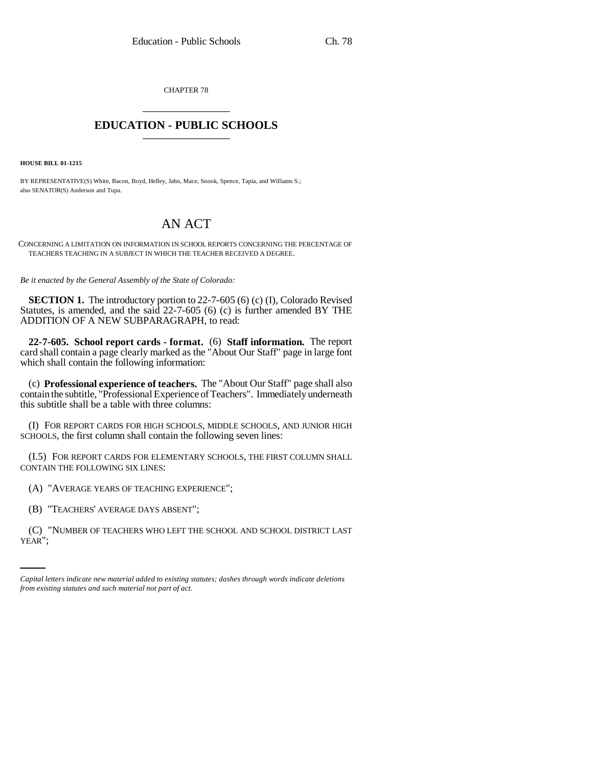CHAPTER 78 \_\_\_\_\_\_\_\_\_\_\_\_\_\_\_

## **EDUCATION - PUBLIC SCHOOLS** \_\_\_\_\_\_\_\_\_\_\_\_\_\_\_

**HOUSE BILL 01-1215**

BY REPRESENTATIVE(S) White, Bacon, Boyd, Hefley, Jahn, Mace, Snook, Spence, Tapia, and Williams S.; also SENATOR(S) Anderson and Tupa.

## AN ACT

CONCERNING A LIMITATION ON INFORMATION IN SCHOOL REPORTS CONCERNING THE PERCENTAGE OF TEACHERS TEACHING IN A SUBJECT IN WHICH THE TEACHER RECEIVED A DEGREE.

*Be it enacted by the General Assembly of the State of Colorado:*

**SECTION 1.** The introductory portion to 22-7-605 (6) (c) (I), Colorado Revised Statutes, is amended, and the said 22-7-605 (6) (c) is further amended BY THE ADDITION OF A NEW SUBPARAGRAPH, to read:

**22-7-605. School report cards - format.** (6) **Staff information.** The report card shall contain a page clearly marked as the "About Our Staff" page in large font which shall contain the following information:

(c) **Professional experience of teachers.** The "About Our Staff" page shall also contain the subtitle, "Professional Experience of Teachers". Immediately underneath this subtitle shall be a table with three columns:

(I) FOR REPORT CARDS FOR HIGH SCHOOLS, MIDDLE SCHOOLS, AND JUNIOR HIGH SCHOOLS, the first column shall contain the following seven lines:

(I.5) FOR REPORT CARDS FOR ELEMENTARY SCHOOLS, THE FIRST COLUMN SHALL CONTAIN THE FOLLOWING SIX LINES:

(A) "AVERAGE YEARS OF TEACHING EXPERIENCE";

 $\mathcal{L}$ (B) "TEACHERS' AVERAGE DAYS ABSENT";

(C) "NUMBER OF TEACHERS WHO LEFT THE SCHOOL AND SCHOOL DISTRICT LAST YEAR";

*Capital letters indicate new material added to existing statutes; dashes through words indicate deletions from existing statutes and such material not part of act.*